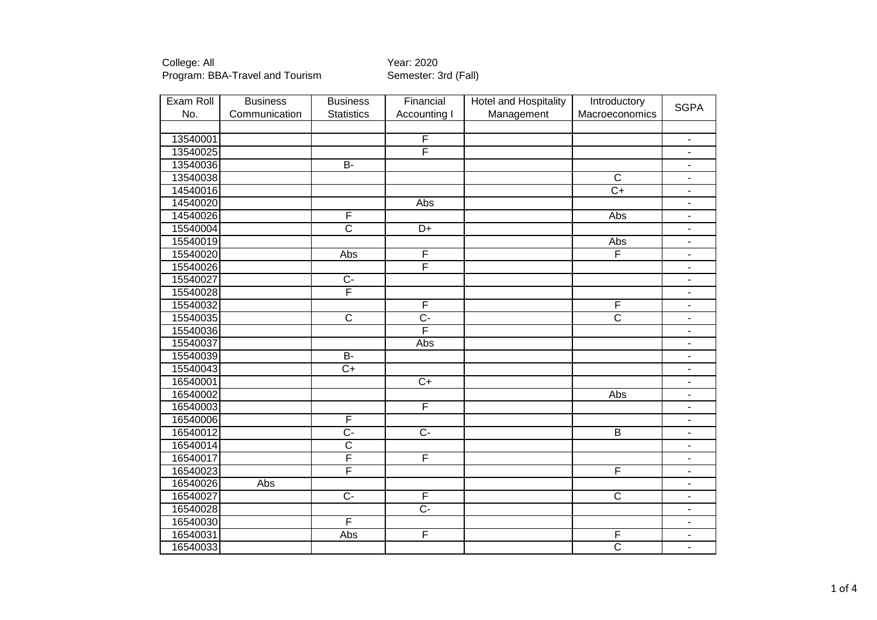| Exam Roll | <b>Business</b> | <b>Business</b>         | Financial               | Hotel and Hospitality | Introductory            | <b>SGPA</b>              |
|-----------|-----------------|-------------------------|-------------------------|-----------------------|-------------------------|--------------------------|
| No.       | Communication   | <b>Statistics</b>       | Accounting I            | Management            | Macroeconomics          |                          |
|           |                 |                         |                         |                       |                         |                          |
| 13540001  |                 |                         | $\overline{F}$          |                       |                         | $\overline{\phantom{a}}$ |
| 13540025  |                 |                         | $\overline{\mathsf{F}}$ |                       |                         | $\overline{\phantom{a}}$ |
| 13540036  |                 | <b>B-</b>               |                         |                       |                         | $\overline{\phantom{a}}$ |
| 13540038  |                 |                         |                         |                       | $\overline{C}$          | $\overline{\phantom{a}}$ |
| 14540016  |                 |                         |                         |                       | $\overline{C+}$         | $\blacksquare$           |
| 14540020  |                 |                         | Abs                     |                       |                         | $\blacksquare$           |
| 14540026  |                 | F                       |                         |                       | Abs                     | $\blacksquare$           |
| 15540004  |                 | $\overline{\text{c}}$   | $\overline{D+}$         |                       |                         | $\overline{\phantom{a}}$ |
| 15540019  |                 |                         |                         |                       | Abs                     | $\overline{\phantom{a}}$ |
| 15540020  |                 | Abs                     | F                       |                       | $\overline{\mathsf{F}}$ | $\blacksquare$           |
| 15540026  |                 |                         | $\overline{\mathsf{F}}$ |                       |                         | $\overline{\phantom{a}}$ |
| 15540027  |                 | $\overline{C}$          |                         |                       |                         | $\blacksquare$           |
| 15540028  |                 | $\overline{\mathsf{F}}$ |                         |                       |                         | $\overline{\phantom{a}}$ |
| 15540032  |                 |                         | F                       |                       | F                       | $\blacksquare$           |
| 15540035  |                 | $\overline{\mathsf{C}}$ | $\overline{C}$          |                       | $\overline{\text{c}}$   | $\overline{\phantom{a}}$ |
| 15540036  |                 |                         | $\overline{\mathsf{F}}$ |                       |                         | $\overline{\phantom{a}}$ |
| 15540037  |                 |                         | <b>Abs</b>              |                       |                         | $\overline{\phantom{a}}$ |
| 15540039  |                 | <b>B-</b>               |                         |                       |                         | $\blacksquare$           |
| 15540043  |                 | $\overline{C+}$         |                         |                       |                         | $\overline{\phantom{a}}$ |
| 16540001  |                 |                         | $\overline{C+}$         |                       |                         | $\blacksquare$           |
| 16540002  |                 |                         |                         |                       | Abs                     | $\overline{\phantom{a}}$ |
| 16540003  |                 |                         | F                       |                       |                         | $\overline{\phantom{0}}$ |
| 16540006  |                 | F                       |                         |                       |                         | $\overline{\phantom{a}}$ |
| 16540012  |                 | $\overline{C}$ -        | $\overline{C}$          |                       | $\overline{\mathsf{B}}$ | $\overline{\phantom{a}}$ |
| 16540014  |                 | $\overline{\text{c}}$   |                         |                       |                         | $\overline{\phantom{a}}$ |
| 16540017  |                 | F                       | F                       |                       |                         | $\blacksquare$           |
| 16540023  |                 | F                       |                         |                       | F                       | $\blacksquare$           |
| 16540026  | Abs             |                         |                         |                       |                         | $\blacksquare$           |
| 16540027  |                 | $\overline{C}$          | F                       |                       | $\overline{\mathsf{C}}$ | $\overline{a}$           |
| 16540028  |                 |                         | $\overline{C}$          |                       |                         | $\overline{\phantom{a}}$ |
| 16540030  |                 | F                       |                         |                       |                         | $\overline{\phantom{a}}$ |
| 16540031  |                 | Abs                     | F                       |                       | F                       | $\overline{\phantom{a}}$ |
| 16540033  |                 |                         |                         |                       | $\overline{\text{c}}$   | $\overline{\phantom{a}}$ |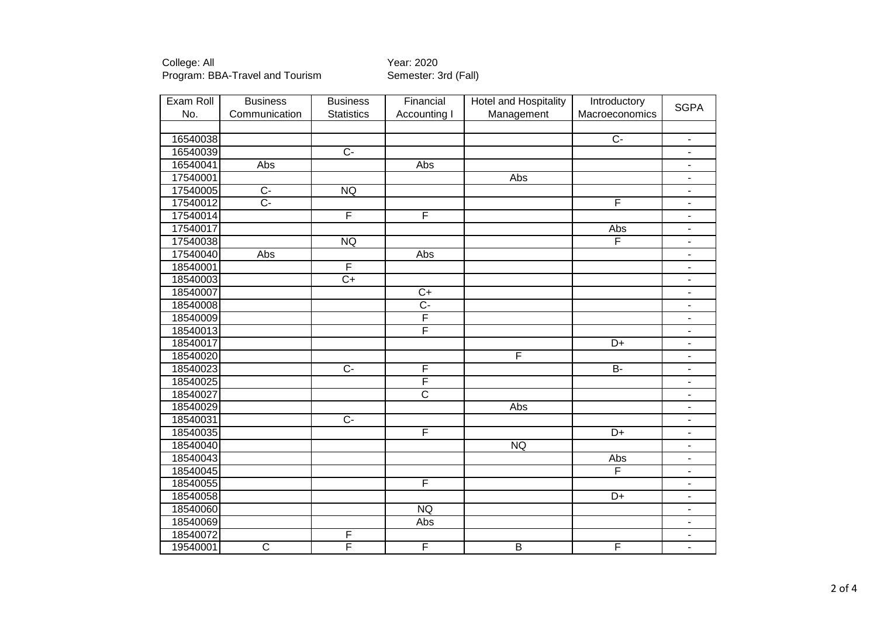| Exam Roll | <b>Business</b>         | <b>Business</b>         | Financial               | <b>Hotel and Hospitality</b> | Introductory    | <b>SGPA</b>              |
|-----------|-------------------------|-------------------------|-------------------------|------------------------------|-----------------|--------------------------|
| No.       | Communication           | <b>Statistics</b>       | Accounting I            | Management                   | Macroeconomics  |                          |
|           |                         |                         |                         |                              |                 |                          |
| 16540038  |                         |                         |                         |                              | $\overline{C}$  | $\blacksquare$           |
| 16540039  |                         | $\overline{C}$          |                         |                              |                 | $\overline{\phantom{a}}$ |
| 16540041  | Abs                     |                         | Abs                     |                              |                 | $\blacksquare$           |
| 17540001  |                         |                         |                         | Abs                          |                 | ÷,                       |
| 17540005  | $\overline{C}$          | <b>NQ</b>               |                         |                              |                 | $\overline{\phantom{0}}$ |
| 17540012  | $\overline{C}$ -        |                         |                         |                              | F               | $\overline{\phantom{0}}$ |
| 17540014  |                         | F                       | $\overline{\mathsf{F}}$ |                              |                 | $\overline{\phantom{a}}$ |
| 17540017  |                         |                         |                         |                              | Abs             | $\overline{\phantom{a}}$ |
| 17540038  |                         | $\overline{\text{NQ}}$  |                         |                              | F               | $\blacksquare$           |
| 17540040  | Abs                     |                         | $\overline{Abs}$        |                              |                 | $\overline{\phantom{0}}$ |
| 18540001  |                         | F                       |                         |                              |                 | L.                       |
| 18540003  |                         | $\overline{C+}$         |                         |                              |                 |                          |
| 18540007  |                         |                         | $C+$                    |                              |                 | $\overline{\phantom{a}}$ |
| 18540008  |                         |                         | $\overline{C}$          |                              |                 | $\overline{\phantom{a}}$ |
| 18540009  |                         |                         | F                       |                              |                 | $\overline{\phantom{a}}$ |
| 18540013  |                         |                         | F                       |                              |                 | $\overline{\phantom{a}}$ |
| 18540017  |                         |                         |                         |                              | $\overline{D+}$ | $\overline{\phantom{a}}$ |
| 18540020  |                         |                         |                         | F                            |                 | $\blacksquare$           |
| 18540023  |                         | $\overline{C}$          | F                       |                              | $B -$           | $\blacksquare$           |
| 18540025  |                         |                         | F                       |                              |                 | $\overline{\phantom{0}}$ |
| 18540027  |                         |                         | $\overline{C}$          |                              |                 | $\overline{\phantom{0}}$ |
| 18540029  |                         |                         |                         | $\overline{Abs}$             |                 | $\overline{\phantom{a}}$ |
| 18540031  |                         | $\overline{C}$          |                         |                              |                 | $\overline{\phantom{0}}$ |
| 18540035  |                         |                         | $\overline{\mathsf{F}}$ |                              | $\overline{D+}$ | $\overline{\phantom{a}}$ |
| 18540040  |                         |                         |                         | NQ                           |                 | $\frac{1}{2}$            |
| 18540043  |                         |                         |                         |                              | Abs             | L.                       |
| 18540045  |                         |                         |                         |                              | F               | $\overline{\phantom{0}}$ |
| 18540055  |                         |                         | F                       |                              |                 | $\blacksquare$           |
| 18540058  |                         |                         |                         |                              | $\overline{D+}$ | $\overline{\phantom{a}}$ |
| 18540060  |                         |                         | NQ                      |                              |                 | $\frac{1}{2}$            |
| 18540069  |                         |                         | Abs                     |                              |                 | $\overline{\phantom{a}}$ |
| 18540072  |                         | F                       |                         |                              |                 | $\overline{\phantom{a}}$ |
| 19540001  | $\overline{\mathsf{C}}$ | $\overline{\mathsf{F}}$ | F                       | $\overline{B}$               | F               | $\overline{\phantom{a}}$ |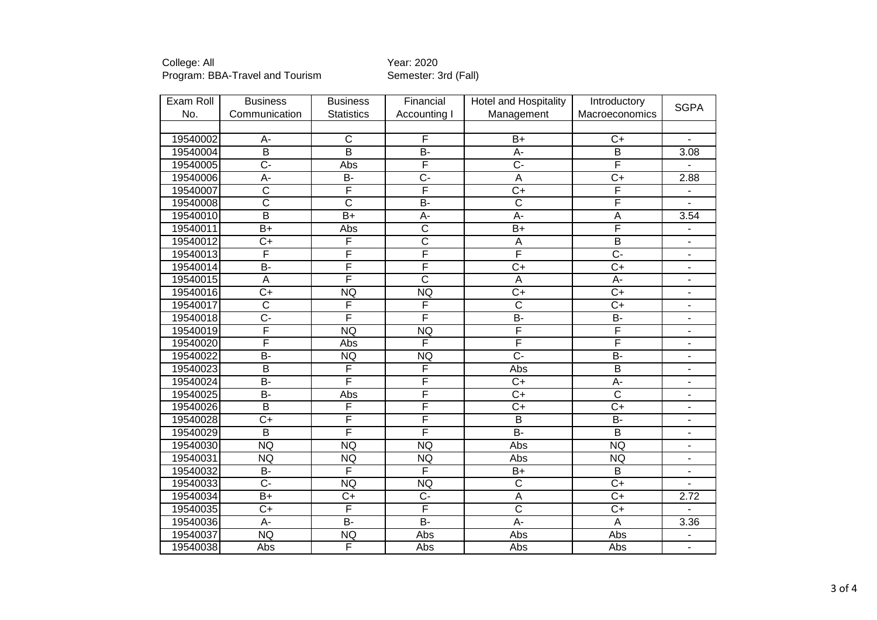| Exam Roll | <b>Business</b>           | <b>Business</b>       | Financial               | Hotel and Hospitality | Introductory            | <b>SGPA</b>              |
|-----------|---------------------------|-----------------------|-------------------------|-----------------------|-------------------------|--------------------------|
| No.       | Communication             | <b>Statistics</b>     | Accounting I            | Management            | Macroeconomics          |                          |
|           |                           |                       |                         |                       |                         |                          |
| 19540002  | A-                        | $\mathsf C$           | F                       | $B+$                  | $\overline{C+}$         | $\overline{\phantom{a}}$ |
| 19540004  | $\overline{B}$            | $\overline{B}$        | $\overline{B}$          | A-                    | $\overline{\mathsf{B}}$ | 3.08                     |
| 19540005  | $\overline{C}$            | Abs                   | $\overline{\mathsf{F}}$ | $\overline{C}$        | F                       |                          |
| 19540006  | $A -$                     | <b>B-</b>             | $C -$                   | A                     | $C+$                    | 2.88                     |
| 19540007  | $\overline{\text{c}}$     | F                     | F                       | $\overline{C+}$       | F                       | $\overline{\phantom{0}}$ |
| 19540008  | $\overline{C}$            | $\overline{\text{c}}$ | $\overline{B}$          | $\overline{\text{c}}$ | F                       | $\blacksquare$           |
| 19540010  | $\overline{B}$            | $\overline{B+}$       | $\overline{A}$ -        | $\overline{A}$ -      | $\overline{A}$          | 3.54                     |
| 19540011  | $\overline{B+}$           | Abs                   | $\overline{\text{c}}$   | $\overline{B+}$       | F                       |                          |
| 19540012  | $\overline{C}$            | F                     | $\overline{\text{c}}$   | A                     | $\overline{\mathsf{B}}$ | $\overline{\phantom{0}}$ |
| 19540013  | F                         | F                     | F                       | F                     | $\overline{C}$ -        | $\overline{\phantom{0}}$ |
| 19540014  | $\overline{B}$            | F                     | F                       | $\overline{C+}$       | $\overline{C+}$         | -                        |
| 19540015  | $\boldsymbol{\mathsf{A}}$ | F                     | $\overline{\text{c}}$   | A                     | A-                      | $\blacksquare$           |
| 19540016  | $\overline{C+}$           | <b>NQ</b>             | <b>NQ</b>               | $\overline{C+}$       | $\overline{C+}$         | $\overline{\phantom{a}}$ |
| 19540017  | $\overline{\text{c}}$     | F                     | F                       | $\overline{\text{c}}$ | $\overline{C+}$         | $\overline{\phantom{a}}$ |
| 19540018  | $\overline{C}$ -          | F                     | F                       | $\overline{B}$        | $\overline{B}$          | $\blacksquare$           |
| 19540019  | F                         | <b>NQ</b>             | <b>NQ</b>               | F                     | F                       | $\overline{\phantom{a}}$ |
| 19540020  | F                         | Abs                   | F                       | F                     | F                       | $\overline{\phantom{a}}$ |
| 19540022  | $\overline{B}$            | <b>NQ</b>             | <b>NQ</b>               | $\overline{C}$        | $\overline{B}$          | $\overline{\phantom{0}}$ |
| 19540023  | B                         | F                     | F                       | Abs                   | $\overline{\mathsf{B}}$ | $\overline{\phantom{0}}$ |
| 19540024  | B-                        | F                     | F                       | $\overline{C+}$       | $\overline{A}$ -        | $\overline{\phantom{0}}$ |
| 19540025  | <b>B-</b>                 | Abs                   | $\overline{\mathsf{F}}$ | $C+$                  | $\overline{\text{c}}$   | $\overline{\phantom{0}}$ |
| 19540026  | $\overline{B}$            | F                     | F                       | $\overline{C+}$       | $\overline{C+}$         |                          |
| 19540028  | $\overline{C}$            | F                     | F                       | $\overline{B}$        | B-                      | -                        |
| 19540029  | $\overline{B}$            | F                     | F                       | $\overline{B}$        | $\overline{\mathsf{B}}$ | $\overline{\phantom{0}}$ |
| 19540030  | <b>NQ</b>                 | <b>NQ</b>             | <b>NQ</b>               | Abs                   | <b>NQ</b>               | -                        |
| 19540031  | <b>NQ</b>                 | <b>NQ</b>             | <b>NQ</b>               | Abs                   | <b>NQ</b>               | -                        |
| 19540032  | <b>B-</b>                 | F                     | F                       | $B+$                  | $\overline{B}$          | $\overline{\phantom{a}}$ |
| 19540033  | $\overline{C}$ -          | NQ                    | <b>NQ</b>               | $\overline{\text{c}}$ | $\overline{C+}$         | $\blacksquare$           |
| 19540034  | $\overline{B+}$           | $C+$                  | $\overline{C}$          | $\overline{A}$        | $\overline{C}$          | 2.72                     |
| 19540035  | $\overline{C}$            | F                     | F                       | $\overline{\text{c}}$ | $\overline{C+}$         |                          |
| 19540036  | A-                        | $\overline{B}$        | $B -$                   | $\overline{A}$        | $\overline{A}$          | 3.36                     |
| 19540037  | <b>NQ</b>                 | <b>NQ</b>             | Abs                     | Abs                   | Abs                     |                          |
| 19540038  | Abs                       | F                     | Abs                     | Abs                   | Abs                     | $\blacksquare$           |